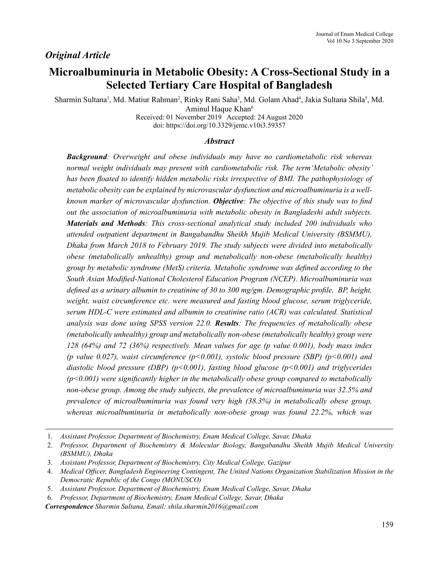# **Microalbuminuria in Metabolic Obesity: A Cross-Sectional Study in a Selected Tertiary Care Hospital of Bangladesh**

Sharmin Sultana<sup>1</sup>, Md. Matiur Rahman<sup>2</sup>, Rinky Rani Saha<sup>3</sup>, Md. Golam Ahad<sup>4</sup>, Jakia Sultana Shila<sup>5</sup>, Md. Aminul Haque Khan<sup>6</sup>

Received: 01 November 2019 Accepted: 24 August 2020 doi: https://doi.org/10.3329/jemc.v10i3.59357

# *Abstract*

*Background: Overweight and obese individuals may have no cardiometabolic risk whereas normal weight individuals may present with cardiometabolic risk. The term'Metabolic obesity' has been floated to identify hidden metabolic risks irrespective of BMI. The pathophysiology of metabolic obesity can be explained by microvascular dysfunction and microalbuminuria is a wellknown marker of microvascular dysfunction. Objective: The objective of this study was to find out the association of microalbuminuria with metabolic obesity in Bangladeshi adult subjects. Materials and Methods: This cross-sectional analytical study included 200 individuals who attended outpatient department in Bangabandhu Sheikh Mujib Medical University (BSMMU), Dhaka from March 2018 to February 2019. The study subjects were divided into metabolically obese (metabolically unhealthy) group and metabolically non-obese (metabolically healthy) group by metabolic syndrome (MetS) criteria. Metabolic syndrome was defined according to the South Asian Modified-National Cholesterol Education Program (NCEP). Microalbuminuria was defined as a urinary albumin to creatinine of 30 to 300 mg/gm. Demographic profile, BP, height, weight, waist circumference etc. were measured and fasting blood glucose, serum triglyceride, serum HDL-C were estimated and albumin to creatinine ratio (ACR) was calculated. Statistical analysis was done using SPSS version 22.0. Results: The frequencies of metabolically obese (metabolically unhealthy) group and metabolically non-obese (metabolically healthy) group were 128 (64%) and 72 (36%) respectively. Mean values for age (p value 0.001), body mass index (p value 0.027), waist circumference (p<0.001), systolic blood pressure (SBP) (p<0.001) and diastolic blood pressure (DBP) (p<0.001), fasting blood glucose (p<0.001) and triglycerides (p<0.001) were significantly higher in the metabolically obese group compared to metabolically non-obese group. Among the study subjects, the prevalence of microalbuminuria was 32.5% and prevalence of microalbuminuria was found very high (38.3%) in metabolically obese group, whereas microalbuminuria in metabolically non-obese group was found 22.2%, which was* 

*Correspondence Sharmin Sultana, Email: shila.sharmin2016@gmail.com*

<sup>1.</sup> *Assistant Professor, Department of Biochemistry, Enam Medical College, Savar, Dhaka*

<sup>2.</sup> *Professor, Department of Biochemistry & Molecular Biology, Bangabandhu Sheikh Mujib Medical University (BSMMU), Dhaka*

<sup>3.</sup> *Assistant Professor, Department of Biochemistry, City Medical College, Gazipur*

<sup>4.</sup> *Medical Officer, Bangladesh Engineering Contingent, The United Nations Organization Stabilization Mission in the Democratic Republic of the Congo (MONUSCO)*

<sup>5.</sup> *Assistant Professor, Department of Biochemistry, Enam Medical College, Savar, Dhaka*

<sup>6.</sup> *Professor, Department of Biochemistry, Enam Medical College, Savar, Dhaka*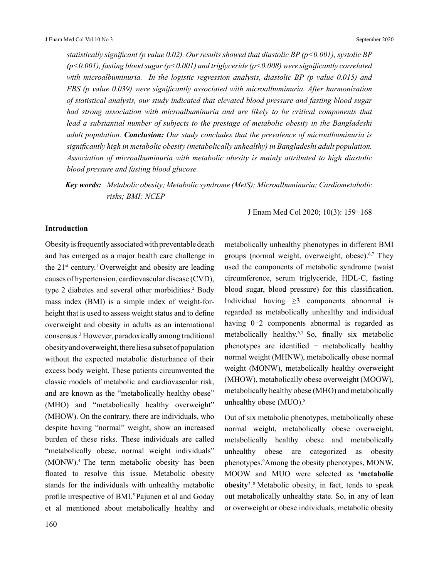*statistically significant (p value 0.02). Our results showed that diastolic BP (p<0.001), systolic BP (p<0.001), fasting blood sugar (p<0.001) and triglyceride (p<0.008) were significantly correlated with microalbuminuria. In the logistic regression analysis, diastolic BP (p value 0.015) and FBS (p value 0.039) were significantly associated with microalbuminuria. After harmonization of statistical analysis, our study indicated that elevated blood pressure and fasting blood sugar had strong association with microalbuminuria and are likely to be critical components that lead a substantial number of subjects to the prestage of metabolic obesity in the Bangladeshi adult population. Conclusion: Our study concludes that the prevalence of microalbuminuria is significantly high in metabolic obesity (metabolically unhealthy) in Bangladeshi adult population. Association of microalbuminuria with metabolic obesity is mainly attributed to high diastolic blood pressure and fasting blood glucose.*

*Key words: Metabolic obesity; Metabolic syndrome (MetS); Microalbuminuria; Cardiometabolic risks; BMI; NCEP*

J Enam Med Col 2020; 10(3): 159−168

# **Introduction**

Obesity is frequently associated with preventable death and has emerged as a major health care challenge in the  $21^{st}$  century.<sup>1</sup> Overweight and obesity are leading causes of hypertension, cardiovascular disease (CVD), type 2 diabetes and several other morbidities.<sup>2</sup> Body mass index (BMI) is a simple index of weight-forheight that is used to assess weight status and to define overweight and obesity in adults as an international consensus.3 However, paradoxically among traditional obesity and overweight, there lies a subset of population without the expected metabolic disturbance of their excess body weight. These patients circumvented the classic models of metabolic and cardiovascular risk, and are known as the "metabolically healthy obese" (MHO) and "metabolically healthy overweight" (MHOW). On the contrary, there are individuals, who despite having "normal" weight, show an increased burden of these risks. These individuals are called "metabolically obese, normal weight individuals" (MONW).4 The term metabolic obesity has been floated to resolve this issue. Metabolic obesity stands for the individuals with unhealthy metabolic profile irrespective of BMI.<sup>5</sup> Pajunen et al and Goday et al mentioned about metabolically healthy and

metabolically unhealthy phenotypes in different BMI groups (normal weight, overweight, obese). $6,7$  They used the components of metabolic syndrome (waist circumference, serum triglyceride, HDL-C, fasting blood sugar, blood pressure) for this classification. Individual having  $\geq$ 3 components abnormal is regarded as metabolically unhealthy and individual having 0−2 components abnormal is regarded as metabolically healthy.6,7 So, finally six metabolic phenotypes are identified − metabolically healthy normal weight (MHNW), metabolically obese normal weight (MONW), metabolically healthy overweight (MHOW), metabolically obese overweight (MOOW), metabolically healthy obese (MHO) and metabolically unhealthy obese (MUO).<sup>8</sup>

Out of six metabolic phenotypes, metabolically obese normal weight, metabolically obese overweight, metabolically healthy obese and metabolically unhealthy obese are categorized as obesity phenotypes.<sup>9</sup>Among the obesity phenotypes, MONW, MOOW and MUO were selected as **'metabolic obesity'**. 8 Metabolic obesity, in fact, tends to speak out metabolically unhealthy state. So, in any of lean or overweight or obese individuals, metabolic obesity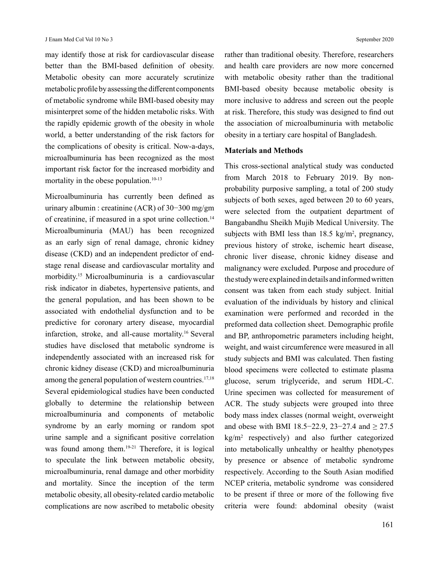may identify those at risk for cardiovascular disease better than the BMI-based definition of obesity. Metabolic obesity can more accurately scrutinize metabolic profile by assessing the different components of metabolic syndrome while BMI-based obesity may misinterpret some of the hidden metabolic risks. With the rapidly epidemic growth of the obesity in whole world, a better understanding of the risk factors for the complications of obesity is critical. Now-a-days, microalbuminuria has been recognized as the most important risk factor for the increased morbidity and mortality in the obese population.<sup>10-13</sup>

Microalbuminuria has currently been defined as urinary albumin : creatinine (ACR) of 30−300 mg/gm of creatinine, if measured in a spot urine collection.<sup>14</sup> Microalbuminuria (MAU) has been recognized as an early sign of renal damage, chronic kidney disease (CKD) and an independent predictor of endstage renal disease and cardiovascular mortality and morbidity.15 Microalbuminuria is a cardiovascular risk indicator in diabetes, hypertensive patients, and the general population, and has been shown to be associated with endothelial dysfunction and to be predictive for coronary artery disease, myocardial infarction, stroke, and all-cause mortality.16 Several studies have disclosed that metabolic syndrome is independently associated with an increased risk for chronic kidney disease (CKD) and microalbuminuria among the general population of western countries.<sup>17,18</sup> Several epidemiological studies have been conducted globally to determine the relationship between microalbuminuria and components of metabolic syndrome by an early morning or random spot urine sample and a significant positive correlation was found among them.<sup>19-21</sup> Therefore, it is logical to speculate the link between metabolic obesity, microalbuminuria, renal damage and other morbidity and mortality. Since the inception of the term metabolic obesity, all obesity-related cardio metabolic complications are now ascribed to metabolic obesity

rather than traditional obesity. Therefore, researchers and health care providers are now more concerned with metabolic obesity rather than the traditional BMI-based obesity because metabolic obesity is more inclusive to address and screen out the people at risk. Therefore, this study was designed to find out the association of microalbuminuria with metabolic obesity in a tertiary care hospital of Bangladesh.

## **Materials and Methods**

This cross-sectional analytical study was conducted from March 2018 to February 2019. By nonprobability purposive sampling, a total of 200 study subjects of both sexes, aged between 20 to 60 years, were selected from the outpatient department of Bangabandhu Sheikh Mujib Medical University. The subjects with BMI less than  $18.5 \text{ kg/m}^2$ , pregnancy, previous history of stroke, ischemic heart disease, chronic liver disease, chronic kidney disease and malignancy were excluded. Purpose and procedure of the study were explained in details and informed written consent was taken from each study subject. Initial evaluation of the individuals by history and clinical examination were performed and recorded in the preformed data collection sheet. Demographic profile and BP, anthropometric parameters including height, weight, and waist circumference were measured in all study subjects and BMI was calculated. Then fasting blood specimens were collected to estimate plasma glucose, serum triglyceride, and serum HDL-C. Urine specimen was collected for measurement of ACR. The study subjects were grouped into three body mass index classes (normal weight, overweight and obese with BMI 18.5−22.9, 23−27.4 and ≥ 27.5 kg/m<sup>2</sup> respectively) and also further categorized into metabolically unhealthy or healthy phenotypes by presence or absence of metabolic syndrome respectively. According to the South Asian modified NCEP criteria, metabolic syndrome was considered to be present if three or more of the following five criteria were found: abdominal obesity (waist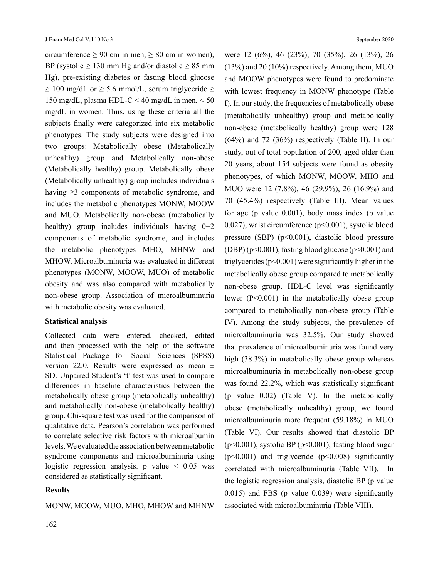circumference  $\geq 90$  cm in men,  $\geq 80$  cm in women), BP (systolic  $\geq$  130 mm Hg and/or diastolic  $\geq$  85 mm Hg), pre-existing diabetes or fasting blood glucose  $\geq 100$  mg/dL or  $\geq 5.6$  mmol/L, serum triglyceride  $\geq$ 150 mg/dL, plasma HDL-C < 40 mg/dL in men, < 50 mg/dL in women. Thus, using these criteria all the subjects finally were categorized into six metabolic phenotypes. The study subjects were designed into two groups: Metabolically obese (Metabolically unhealthy) group and Metabolically non-obese (Metabolically healthy) group. Metabolically obese (Metabolically unhealthy) group includes individuals having  $\geq$ 3 components of metabolic syndrome, and includes the metabolic phenotypes MONW, MOOW and MUO. Metabolically non-obese (metabolically healthy) group includes individuals having 0−2 components of metabolic syndrome, and includes the metabolic phenotypes MHO, MHNW and MHOW. Microalbuminuria was evaluated in different phenotypes (MONW, MOOW, MUO) of metabolic obesity and was also compared with metabolically non-obese group. Association of microalbuminuria with metabolic obesity was evaluated.

## **Statistical analysis**

Collected data were entered, checked, edited and then processed with the help of the software Statistical Package for Social Sciences (SPSS) version 22.0. Results were expressed as mean  $\pm$ SD. Unpaired Student's 't' test was used to compare differences in baseline characteristics between the metabolically obese group (metabolically unhealthy) and metabolically non-obese (metabolically healthy) group. Chi-square test was used for the comparison of qualitative data. Pearson's correlation was performed to correlate selective risk factors with microalbumin levels. We evaluated the association between metabolic syndrome components and microalbuminuria using logistic regression analysis. p value  $\leq 0.05$  was considered as statistically significant.

# **Results**

were 12 (6%), 46 (23%), 70 (35%), 26 (13%), 26 (13%) and 20 (10%) respectively. Among them, MUO and MOOW phenotypes were found to predominate with lowest frequency in MONW phenotype (Table I). In our study, the frequencies of metabolically obese (metabolically unhealthy) group and metabolically non-obese (metabolically healthy) group were 128 (64%) and 72 (36%) respectively (Table II). In our study, out of total population of 200, aged older than 20 years, about 154 subjects were found as obesity phenotypes, of which MONW, MOOW, MHO and MUO were 12 (7.8%), 46 (29.9%), 26 (16.9%) and 70 (45.4%) respectively (Table III). Mean values for age (p value 0.001), body mass index (p value 0.027), waist circumference (p<0.001), systolic blood pressure (SBP) (p<0.001), diastolic blood pressure (DBP) ( $p<0.001$ ), fasting blood glucose ( $p<0.001$ ) and triglycerides (p<0.001) were significantly higher in the metabolically obese group compared to metabolically non-obese group. HDL-C level was significantly lower (P<0.001) in the metabolically obese group compared to metabolically non-obese group (Table IV). Among the study subjects, the prevalence of microalbuminuria was 32.5%. Our study showed that prevalence of microalbuminuria was found very high (38.3%) in metabolically obese group whereas microalbuminuria in metabolically non-obese group was found 22.2%, which was statistically significant (p value 0.02) (Table V). In the metabolically obese (metabolically unhealthy) group, we found microalbuminuria more frequent (59.18%) in MUO (Table VI). Our results showed that diastolic BP  $(p<0.001)$ , systolic BP  $(p<0.001)$ , fasting blood sugar (p<0.001) and triglyceride (p<0.008) significantly correlated with microalbuminuria (Table VII). In the logistic regression analysis, diastolic BP (p value 0.015) and FBS (p value 0.039) were significantly associated with microalbuminuria (Table VIII).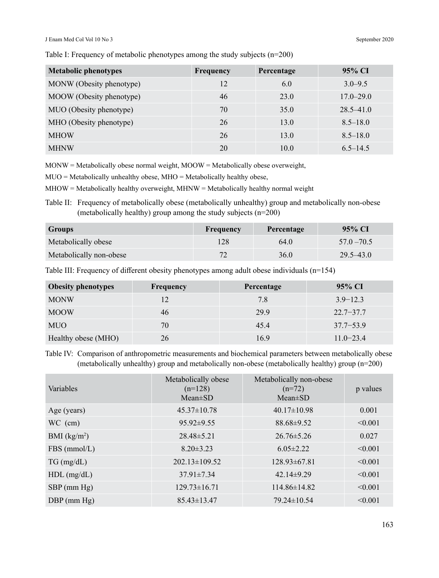#### J Enam Med Col Vol 10 No 3 September 2020

Table I: Frequency of metabolic phenotypes among the study subjects (n=200)

| <b>Metabolic phenotypes</b> | <b>Frequency</b> | Percentage | 95% CI        |
|-----------------------------|------------------|------------|---------------|
| MONW (Obesity phenotype)    | 12               | 6.0        | $3.0 - 9.5$   |
| MOOW (Obesity phenotype)    | 46               | 23.0       | $17.0 - 29.0$ |
| MUO (Obesity phenotype)     | 70               | 35.0       | $28.5 - 41.0$ |
| MHO (Obesity phenotype)     | 26               | 13.0       | $8.5 - 18.0$  |
| <b>MHOW</b>                 | 26               | 13.0       | $8.5 - 18.0$  |
| <b>MHNW</b>                 | 20               | 10.0       | $6.5 - 14.5$  |

 $MONW = Metabolically$  obese normal weight,  $MOOW = Metabolically$  obese overweight,

MUO = Metabolically unhealthy obese, MHO = Metabolically healthy obese,

 $MHOW = Metabolically healthy overview, MHNW = Metabolically healthy normal weight$ 

Table II: Frequency of metabolically obese (metabolically unhealthy) group and metabolically non-obese (metabolically healthy) group among the study subjects (n=200)

| <b>Groups</b>           | Frequency | Percentage | 95% CI        |
|-------------------------|-----------|------------|---------------|
| Metabolically obese     | 128       | 64.0       | $57.0 - 70.5$ |
| Metabolically non-obese | 72        | 36.0       | $29.5 - 43.0$ |

Table III: Frequency of different obesity phenotypes among adult obese individuals (n=154)

| <b>Obesity phenotypes</b> | Frequency | Percentage | 95% CI        |
|---------------------------|-----------|------------|---------------|
| <b>MONW</b>               |           | 7.8        | $3.9 - 12.3$  |
| <b>MOOW</b>               | 46        | 29.9       | $22.7 - 37.7$ |
| <b>MUO</b>                | 70        | 45.4       | $37.7 - 53.9$ |
| Healthy obese (MHO)       | 26        | 16.9       | $11.0 - 23.4$ |

Table IV: Comparison of anthropometric measurements and biochemical parameters between metabolically obese (metabolically unhealthy) group and metabolically non-obese (metabolically healthy) group (n=200)

| Variables        | Metabolically obese<br>$(n=128)$<br>$Mean \pm SD$ | Metabolically non-obese<br>$(n=72)$<br>$Mean \pm SD$ | p values |
|------------------|---------------------------------------------------|------------------------------------------------------|----------|
| Age (years)      | $45.37 \pm 10.78$                                 | $40.17 \pm 10.98$                                    | 0.001    |
| $WC$ (cm)        | $95.92 \pm 9.55$                                  | $88.68 \pm 9.52$                                     | < 0.001  |
| BMI $(kg/m2)$    | $28.48 \pm 5.21$                                  | $26.76 \pm 5.26$                                     | 0.027    |
| FBS (mmol/L)     | $8.20 \pm 3.23$                                   | $6.05 \pm 2.22$                                      | < 0.001  |
| $TG \, (mg/dL)$  | $202.13 \pm 109.52$                               | $128.93\pm 67.81$                                    | < 0.001  |
| $HDL$ (mg/dL)    | $37.91 \pm 7.34$                                  | $42.14 \pm 9.29$                                     | < 0.001  |
| $SBP$ (mm Hg)    | $129.73 \pm 16.71$                                | 114.86±14.82                                         | < 0.001  |
| $DBP$ (mm $Hg$ ) | $85.43 \pm 13.47$                                 | $79.24 \pm 10.54$                                    | < 0.001  |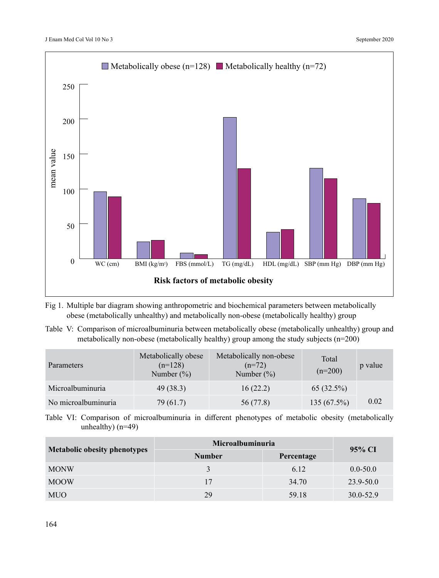

Fig 1. Multiple bar diagram showing anthropometric and biochemical parameters between metabolically obese (metabolically unhealthy) and metabolically non-obese (metabolically healthy) group

Table V: Comparison of microalbuminuria between metabolically obese (metabolically unhealthy) group and metabolically non-obese (metabolically healthy) group among the study subjects (n=200)

| <b>Parameters</b>   | Metabolically obese<br>$(n=128)$<br>Number $(\%)$ | Metabolically non-obese<br>$(n=72)$<br>Number $(\%)$ | Total<br>$(n=200)$ | p value |
|---------------------|---------------------------------------------------|------------------------------------------------------|--------------------|---------|
| Microalbuminuria    | 49(38.3)                                          | 16(22.2)                                             | 65(32.5%)          |         |
| No microalbuminuria | 79 (61.7)                                         | 56 (77.8)                                            | $135(67.5\%)$      | 0.02    |

Table VI: Comparison of microalbuminuria in different phenotypes of metabolic obesity (metabolically unhealthy) (n=49)

|                                     | Microalbuminuria | 95% CI     |              |
|-------------------------------------|------------------|------------|--------------|
| <b>Metabolic obesity phenotypes</b> | <b>Number</b>    | Percentage |              |
| <b>MONW</b>                         |                  | 6.12       | $0.0 - 50.0$ |
| <b>MOOW</b>                         | 17               | 34.70      | 23.9-50.0    |
| <b>MUO</b>                          | 29               | 59.18      | 30.0-52.9    |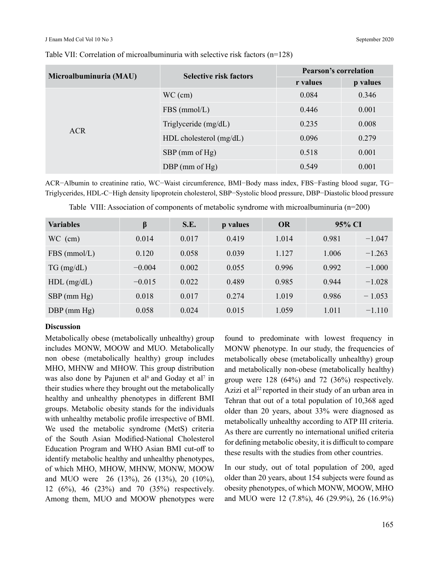| Microalbuminuria (MAU) |                         | <b>Pearson's correlation</b>                                                                                               |          |  |
|------------------------|-------------------------|----------------------------------------------------------------------------------------------------------------------------|----------|--|
|                        |                         | <b>Selective risk factors</b><br>r values<br>0.084<br>0.446<br>0.001<br>0.235<br>0.008<br>0.096<br>0.279<br>0.518<br>0.001 | p values |  |
|                        | $WC$ (cm)               |                                                                                                                            | 0.346    |  |
| <b>ACR</b>             | $FBS$ (mmol/L)          |                                                                                                                            |          |  |
|                        | Triglyceride (mg/dL)    |                                                                                                                            |          |  |
|                        | HDL cholesterol (mg/dL) |                                                                                                                            |          |  |
|                        | $SBP$ (mm of Hg)        |                                                                                                                            |          |  |
|                        | DBP (mm of $Hg$ )       | 0.549                                                                                                                      | 0.001    |  |

#### Table VII: Correlation of microalbuminuria with selective risk factors (n=128)

ACR−Albumin to creatinine ratio, WC−Waist circumference, BMI−Body mass index, FBS−Fasting blood sugar, TG− Triglycerides, HDL-C−High density lipoprotein cholesterol, SBP−Systolic blood pressure, DBP−Diastolic blood pressure

| <b>Variables</b> | β        | S.E.  | p values | <b>OR</b> | 95% CI |          |
|------------------|----------|-------|----------|-----------|--------|----------|
| $WC$ (cm)        | 0.014    | 0.017 | 0.419    | 1.014     | 0.981  | $-1.047$ |
| $FBS$ (mmol/L)   | 0.120    | 0.058 | 0.039    | 1.127     | 1.006  | $-1.263$ |
| $TG \, (mg/dL)$  | $-0.004$ | 0.002 | 0.055    | 0.996     | 0.992  | $-1.000$ |
| $HDL$ (mg/dL)    | $-0.015$ | 0.022 | 0.489    | 0.985     | 0.944  | $-1.028$ |
| $SBP$ (mm Hg)    | 0.018    | 0.017 | 0.274    | 1.019     | 0.986  | $-1.053$ |
| $DBP$ (mm $Hg$ ) | 0.058    | 0.024 | 0.015    | 1.059     | 1.011  | $-1.110$ |

|  |  |  | Table VIII: Association of components of metabolic syndrome with microalbuminuria ( $n=200$ ) |  |  |  |
|--|--|--|-----------------------------------------------------------------------------------------------|--|--|--|
|--|--|--|-----------------------------------------------------------------------------------------------|--|--|--|

## **Discussion**

Metabolically obese (metabolically unhealthy) group includes MONW, MOOW and MUO. Metabolically non obese (metabolically healthy) group includes MHO, MHNW and MHOW. This group distribution was also done by Pajunen et al<sup>6</sup> and Goday et al<sup>7</sup> in their studies where they brought out the metabolically healthy and unhealthy phenotypes in different BMI groups. Metabolic obesity stands for the individuals with unhealthy metabolic profile irrespective of BMI. We used the metabolic syndrome (MetS) criteria of the South Asian Modified-National Cholesterol Education Program and WHO Asian BMI cut-off to identify metabolic healthy and unhealthy phenotypes, of which MHO, MHOW, MHNW, MONW, MOOW and MUO were 26 (13%), 26 (13%), 20 (10%), 12 (6%), 46 (23%) and 70 (35%) respectively. Among them, MUO and MOOW phenotypes were

found to predominate with lowest frequency in MONW phenotype. In our study, the frequencies of metabolically obese (metabolically unhealthy) group and metabolically non-obese (metabolically healthy) group were 128 (64%) and 72 (36%) respectively. Azizi et al<sup>22</sup> reported in their study of an urban area in Tehran that out of a total population of 10,368 aged older than 20 years, about 33% were diagnosed as metabolically unhealthy according to ATP III criteria. As there are currently no international unified criteria for defining metabolic obesity, it is difficult to compare these results with the studies from other countries.

In our study, out of total population of 200, aged older than 20 years, about 154 subjects were found as obesity phenotypes, of which MONW, MOOW, MHO and MUO were 12 (7.8%), 46 (29.9%), 26 (16.9%)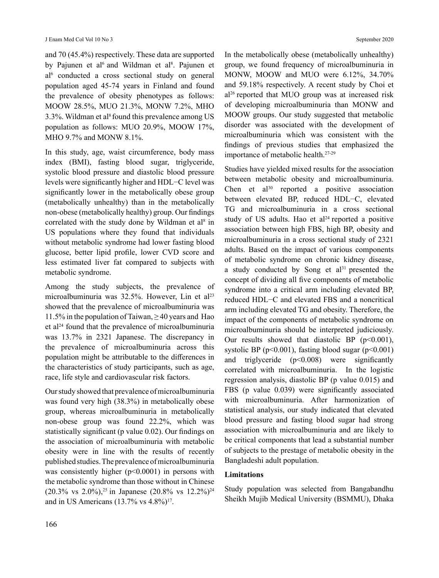#### J Enam Med Col Vol 10 No 3 September 2020

and 70 (45.4%) respectively. These data are supported by Pajunen et al<sup>6</sup> and Wildman et al<sup>8</sup>. Pajunen et al<sup>6</sup> conducted a cross sectional study on general population aged 45-74 years in Finland and found the prevalence of obesity phenotypes as follows: MOOW 28.5%, MUO 21.3%, MONW 7.2%, MHO 3.3%. Wildman et al<sup>8</sup> found this prevalence among US population as follows: MUO 20.9%, MOOW 17%, MHO 9.7% and MONW 8.1%.

In this study, age, waist circumference, body mass index (BMI), fasting blood sugar, triglyceride, systolic blood pressure and diastolic blood pressure levels were significantly higher and HDL−C level was significantly lower in the metabolically obese group (metabolically unhealthy) than in the metabolically non-obese (metabolically healthy) group. Our findings correlated with the study done by Wildman et  $al<sup>8</sup>$  in US populations where they found that individuals without metabolic syndrome had lower fasting blood glucose, better lipid profile, lower CVD score and less estimated liver fat compared to subjects with metabolic syndrome.

Among the study subjects, the prevalence of microalbuminuria was 32.5%. However, Lin et al<sup>23</sup> showed that the prevalence of microalbuminuria was 11.5% in the population of Taiwan,  $\geq$  40 years and Hao et al<sup>24</sup> found that the prevalence of microalbuminuria was 13.7% in 2321 Japanese. The discrepancy in the prevalence of microalbuminuria across this population might be attributable to the differences in the characteristics of study participants, such as age, race, life style and cardiovascular risk factors.

Our study showed that prevalence of microalbuminuria was found very high (38.3%) in metabolically obese group, whereas microalbuminuria in metabolically non-obese group was found 22.2%, which was statistically significant (p value 0.02). Our findings on the association of microalbuminuria with metabolic obesity were in line with the results of recently published studies. The prevalence of microalbuminuria was consistently higher  $(p<0.0001)$  in persons with the metabolic syndrome than those without in Chinese (20.3% vs 2.0%),<sup>25</sup> in Japanese (20.8% vs 12.2%)<sup>24</sup> and in US Americans  $(13.7\% \text{ vs } 4.8\%)$ <sup>17</sup>.

In the metabolically obese (metabolically unhealthy) group, we found frequency of microalbuminuria in MONW, MOOW and MUO were 6.12%, 34.70% and 59.18% respectively. A recent study by Choi et al<sup>26</sup> reported that MUO group was at increased risk of developing microalbuminuria than MONW and MOOW groups. Our study suggested that metabolic disorder was associated with the development of microalbuminuria which was consistent with the findings of previous studies that emphasized the importance of metabolic health.27-29

Studies have yielded mixed results for the association between metabolic obesity and microalbuminuria. Chen et  $a^{30}$  reported a positive association between elevated BP, reduced HDL−C, elevated TG and microalbuminuria in a cross sectional study of US adults. Hao et  $al<sup>24</sup>$  reported a positive association between high FBS, high BP, obesity and microalbuminuria in a cross sectional study of 2321 adults. Based on the impact of various components of metabolic syndrome on chronic kidney disease, a study conducted by Song et  $al<sup>31</sup>$  presented the concept of dividing all five components of metabolic syndrome into a critical arm including elevated BP, reduced HDL−C and elevated FBS and a noncritical arm including elevated TG and obesity. Therefore, the impact of the components of metabolic syndrome on microalbuminuria should be interpreted judiciously. Our results showed that diastolic BP ( $p<0.001$ ), systolic BP ( $p<0.001$ ), fasting blood sugar ( $p<0.001$ ) and triglyceride  $(p<0.008)$  were significantly correlated with microalbuminuria. In the logistic regression analysis, diastolic BP (p value 0.015) and FBS (p value 0.039) were significantly associated with microalbuminuria. After harmonization of statistical analysis, our study indicated that elevated blood pressure and fasting blood sugar had strong association with microalbuminuria and are likely to be critical components that lead a substantial number of subjects to the prestage of metabolic obesity in the Bangladeshi adult population.

# **Limitations**

Study population was selected from Bangabandhu Sheikh Mujib Medical University (BSMMU), Dhaka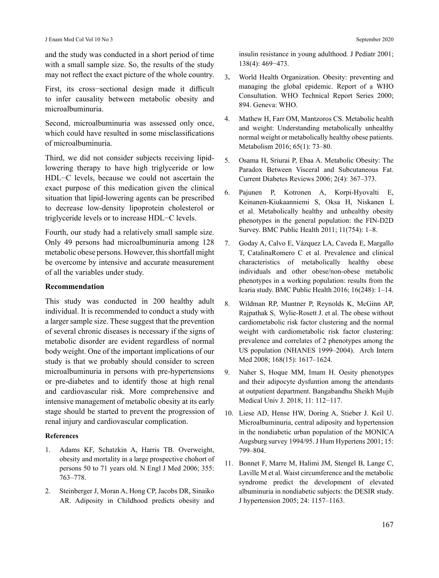and the study was conducted in a short period of time with a small sample size. So, the results of the study may not reflect the exact picture of the whole country.

First, its cross−sectional design made it difficult to infer causality between metabolic obesity and microalbuminuria.

Second, microalbuminuria was assessed only once, which could have resulted in some misclassifications of microalbuminuria.

Third, we did not consider subjects receiving lipidlowering therapy to have high triglyceride or low HDL−C levels, because we could not ascertain the exact purpose of this medication given the clinical situation that lipid-lowering agents can be prescribed to decrease low-density lipoprotein cholesterol or triglyceride levels or to increase HDL−C levels.

Fourth, our study had a relatively small sample size. Only 49 persons had microalbuminuria among 128 metabolic obese persons. However, this shortfall might be overcome by intensive and accurate measurement of all the variables under study.

## **Recommendation**

This study was conducted in 200 healthy adult individual. It is recommended to conduct a study with a larger sample size. These suggest that the prevention of several chronic diseases is necessary if the signs of metabolic disorder are evident regardless of normal body weight. One of the important implications of our study is that we probably should consider to screen microalbuminuria in persons with pre-hypertensions or pre-diabetes and to identify those at high renal and cardiovascular risk. More comprehensive and intensive management of metabolic obesity at its early stage should be started to prevent the progression of renal injury and cardiovascular complication.

#### **References**

- 1. Adams KF, Schatzkin A, Harris TB. Overweight, obesity and mortality in a large prospective chohort of persons 50 to 71 years old. N Engl J Med 2006; 355: 763–778.
- 2. Steinberger J, Moran A, Hong CP, Jacobs DR, Sinaiko AR. Adiposity in Childhood predicts obesity and

insulin resistance in young adulthood. J Pediatr 2001; 138(4): 469−473.

- 3**.** World Health Organization. Obesity: preventing and managing the global epidemic. Report of a WHO Consultation. WHO Technical Report Series 2000; 894. Geneva: WHO.
- 4. Mathew H, Farr OM, Mantzoros CS. Metabolic health and weight: Understanding metabolically unhealthy normal weight or metabolically healthy obese patients. Metabolism 2016; 65(1): 73–80.
- 5. Osama H, Sriurai P, Ebaa A. Metabolic Obesity: The Paradox Between Visceral and Subcutaneous Fat. Current Diabetes Reviews 2006; 2(4): 367–373.
- 6. Pajunen P, Kotronen A, Korpi-Hyovalti E, Keinanen-Kiukaanniemi S, Oksa H, Niskanen L et al. Metabolically healthy and unhealthy obesity phenotypes in the general population: the FIN-D2D Survey. BMC Public Health 2011; 11(754): 1–8.
- 7. Goday A, Calvo E, Vázquez LA, Caveda E, Margallo T, CatalinaRomero C et al. Prevalence and clinical characteristics of metabolically healthy obese individuals and other obese/non-obese metabolic phenotypes in a working population: results from the Icaria study. BMC Public Health 2016; 16(248): 1–14.
- 8. Wildman RP, Muntner P, Reynolds K, McGinn AP, Rajpathak S, Wylie-Rosett J. et al. The obese without cardiometabolic risk factor clustering and the normal weight with cardiometabolic risk factor clustering: prevalence and correlates of 2 phenotypes among the US population (NHANES 1999–2004). Arch Intern Med 2008; 168(15): 1617–1624.
- 9. Naher S, Hoque MM, Imam H. Oesity phenotypes and their adipocyte dysfuntion among the attendants at outpatient department. Bangabandhu Sheikh Mujib Medical Univ J. 2018; 11: 112−117.
- 10. Liese AD, Hense HW, Doring A, Stieber J. Keil U. Microalbuminuria, central adiposity and hypertension in the nondiabetic urban population of the MONICA Augsburg survey 1994/95. J Hum Hypertens 2001; 15: 799–804.
- 11. Bonnet F, Marre M, Halimi JM, Stengel B, Lange C, Laville M et al. Waist circumference and the metabolic syndrome predict the development of elevated albuminuria in nondiabetic subjects: the DESIR study. J hypertension 2005; 24: 1157–1163.